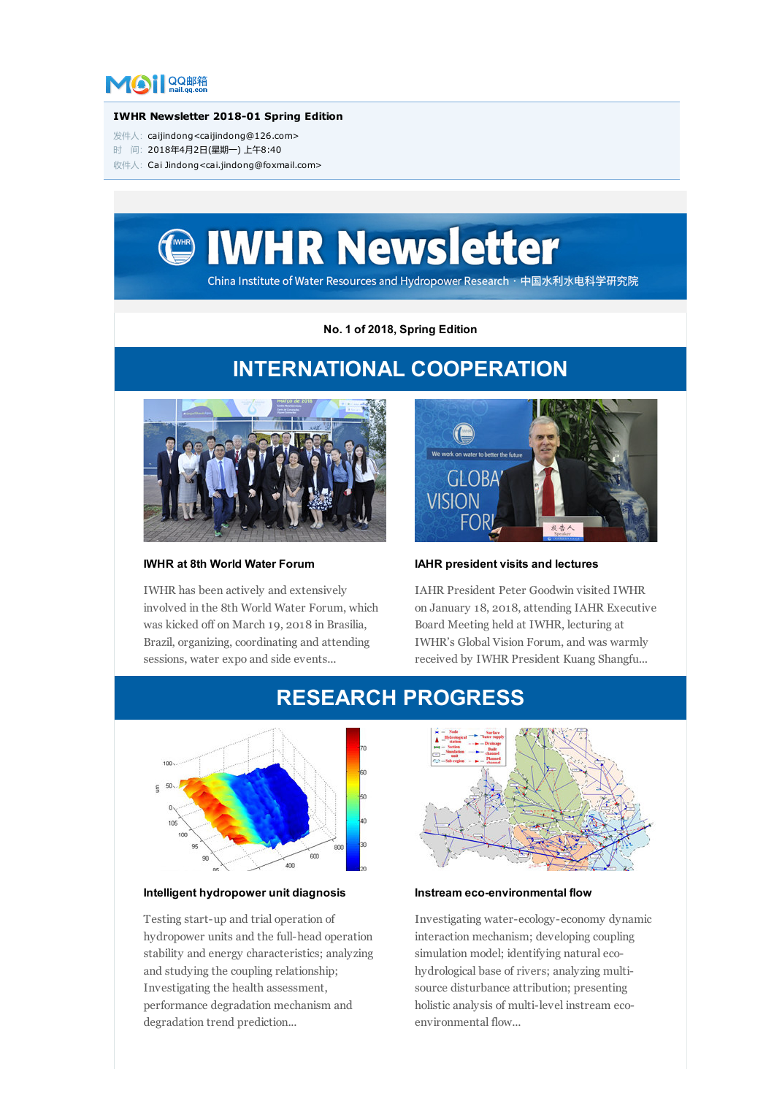

#### IWHR Newsletter 2018-01 Spring Edition

- 发件人: caijindong<caijindong@126.com>
- 时 间:2018年4月2日(星期一) 上午8:40
- 收件人:Cai Jindong<cai.jindong@foxmail.com>



No. 1 of 2018, Spring Edition

# INTERNATIONAL COOPERATION

RESEARCH PROGRESS



# IWHR at 8th World Water Forum

IWHR has been actively and extensively involved in the 8th World Water Forum, which was kicked off on March 19, 2018 in Brasilia, Brazil, organizing, coordinating and attending sessions, water expo and side events...



# IAHR president visits and lectures

IAHR President Peter Goodwin visited IWHR on January 18, 2018, attending IAHR Executive Board Meeting held at IWHR, lecturing at IWHR's Global Vision Forum, and was warmly received by IWHR President Kuang Shangfu...



# Intelligent hydropower unit diagnosis

Testing start-up and trial operation of hydropower units and the full-head operation stability and energy characteristics; analyzing and studying the coupling relationship; Investigating the health assessment, performance degradation mechanism and degradation trend prediction...



### Instream eco-environmental flow

Investigating water-ecology-economy dynamic interaction mechanism; developing coupling simulation model; identifying natural ecohydrological base of rivers; analyzing multisource disturbance attribution; presenting holistic analysis of multi-level instream ecoenvironmental flow...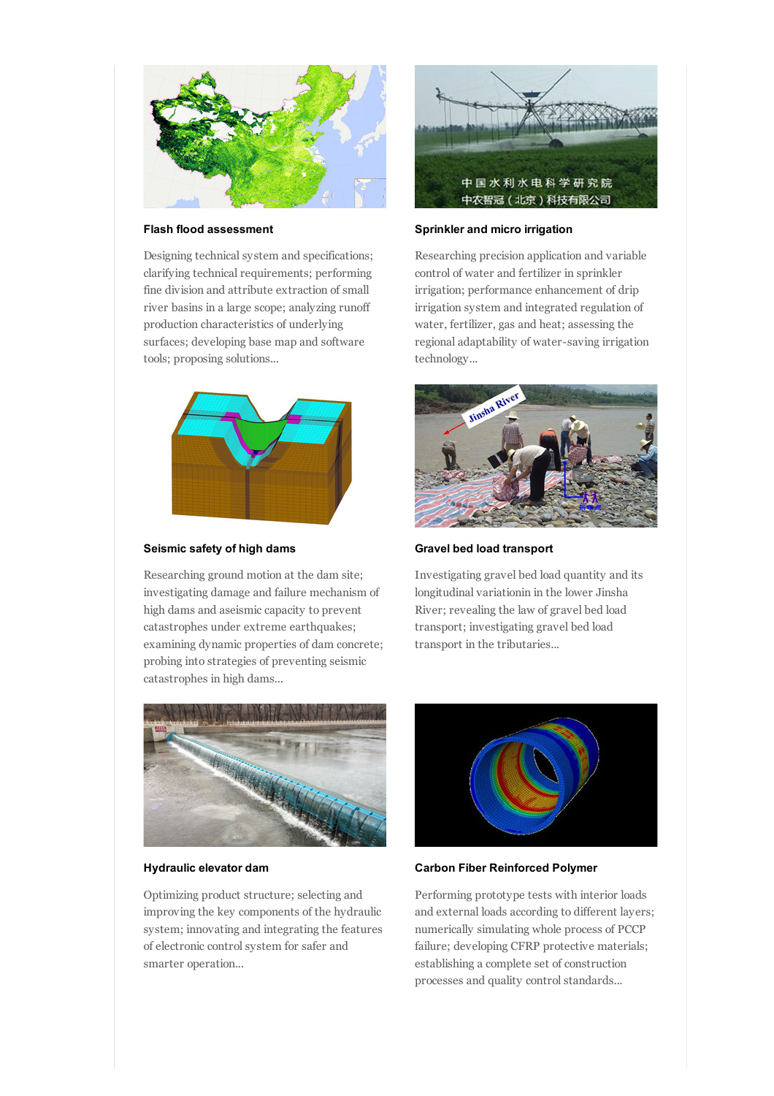

#### Flash flood assessment

Designing technical system and specifications; clarifying technical requirements; performing fine division and attribute extraction of small river basins in a large scope; analyzing runoff production characteristics of underlying surfaces; developing base map and software tools; proposing solutions...



### Seismic safety of high dams

Researching ground motion at the dam site; investigating damage and failure mechanism of high dams and aseismic capacity to prevent catastrophes under extreme earthquakes; examining dynamic properties of dam concrete; probing into strategies of preventing seismic catastrophes in high dams...



#### Hydraulic elevator dam

Optimizing product structure; selecting and improving the key components of the hydraulic system; innovating and integrating the features of electronic control system for safer and smarter operation...



#### Sprinkler and micro irrigation

Researching precision application and variable control of water and fertilizer in sprinkler irrigation; performance enhancement of drip irrigation system and integrated regulation of water, fertilizer, gas and heat; assessing the regional adaptability of water-saving irrigation technology...



Gravel bed load transport

Investigating gravel bed load quantity and its longitudinal variationin in the lower Jinsha River; revealing the law of gravel bed load transport; investigating gravel bed load transport in the tributaries...



#### Carbon Fiber Reinforced Polymer

Performing prototype tests with interior loads and external loads according to different layers; numerically simulating whole process of PCCP failure; developing CFRP protective materials; establishing a complete set of construction processes and quality control standards...